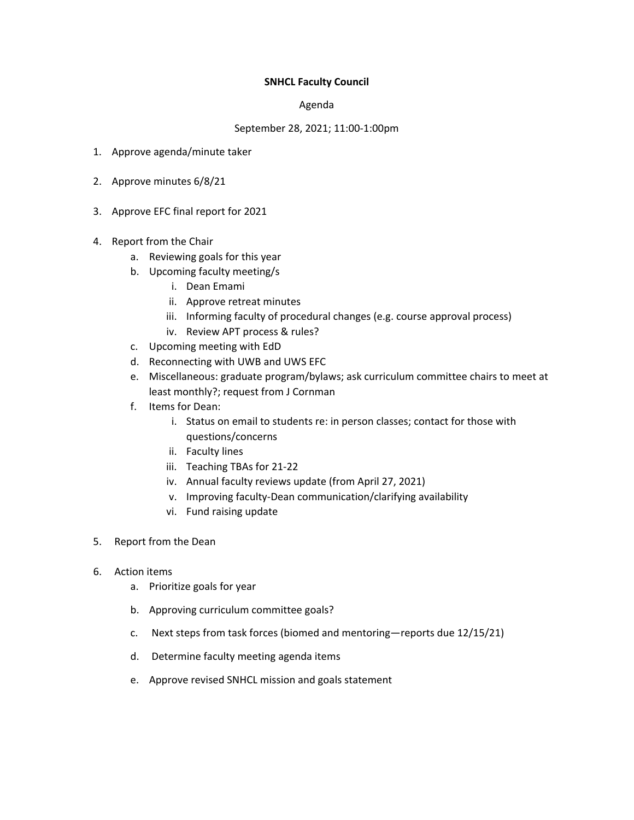### **SNHCL Faculty Council**

### Agenda

### September 28, 2021; 11:00-1:00pm

- 1. Approve agenda/minute taker
- 2. Approve minutes 6/8/21
- 3. Approve EFC final report for 2021
- 4. Report from the Chair
	- a. Reviewing goals for this year
	- b. Upcoming faculty meeting/s
		- i. Dean Emami
		- ii. Approve retreat minutes
		- iii. Informing faculty of procedural changes (e.g. course approval process)
		- iv. Review APT process & rules?
	- c. Upcoming meeting with EdD
	- d. Reconnecting with UWB and UWS EFC
	- e. Miscellaneous: graduate program/bylaws; ask curriculum committee chairs to meet at least monthly?; request from J Cornman
	- f. Items for Dean:
		- i. Status on email to students re: in person classes; contact for those with questions/concerns
		- ii. Faculty lines
		- iii. Teaching TBAs for 21-22
		- iv. Annual faculty reviews update (from April 27, 2021)
		- v. Improving faculty-Dean communication/clarifying availability
		- vi. Fund raising update
- 5. Report from the Dean
- 6. Action items
	- a. Prioritize goals for year
	- b. Approving curriculum committee goals?
	- c. Next steps from task forces (biomed and mentoring—reports due 12/15/21)
	- d. Determine faculty meeting agenda items
	- e. Approve revised SNHCL mission and goals statement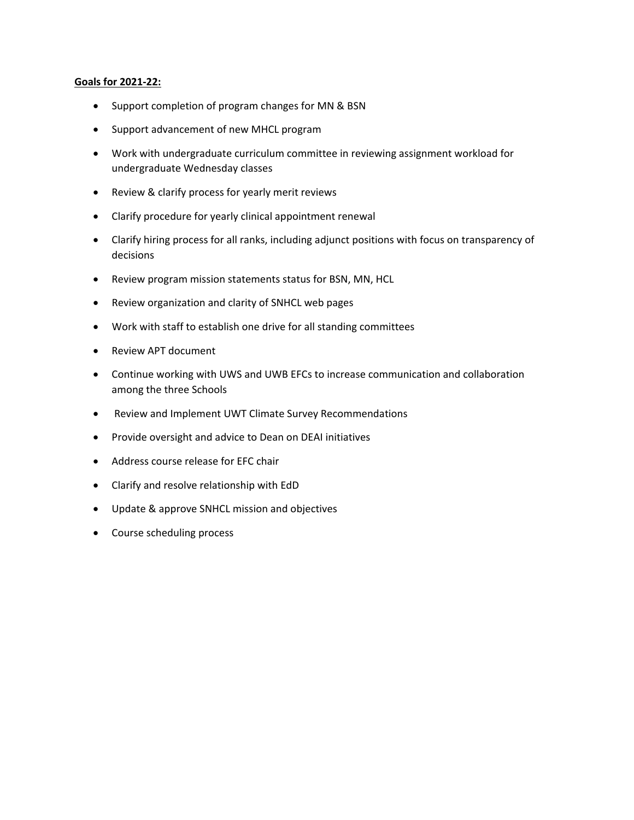### **Goals for 2021-22:**

- Support completion of program changes for MN & BSN
- Support advancement of new MHCL program
- Work with undergraduate curriculum committee in reviewing assignment workload for undergraduate Wednesday classes
- Review & clarify process for yearly merit reviews
- Clarify procedure for yearly clinical appointment renewal
- Clarify hiring process for all ranks, including adjunct positions with focus on transparency of decisions
- Review program mission statements status for BSN, MN, HCL
- Review organization and clarity of SNHCL web pages
- Work with staff to establish one drive for all standing committees
- Review APT document
- Continue working with UWS and UWB EFCs to increase communication and collaboration among the three Schools
- Review and Implement UWT Climate Survey Recommendations
- Provide oversight and advice to Dean on DEAI initiatives
- Address course release for EFC chair
- Clarify and resolve relationship with EdD
- Update & approve SNHCL mission and objectives
- Course scheduling process